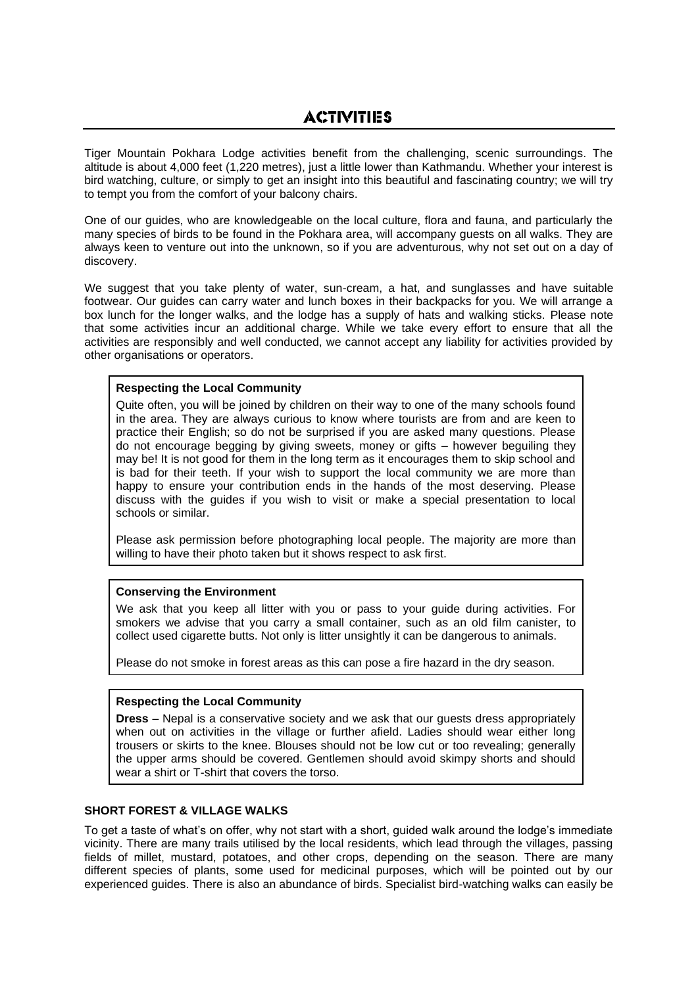Tiger Mountain Pokhara Lodge activities benefit from the challenging, scenic surroundings. The altitude is about 4,000 feet (1,220 metres), just a little lower than Kathmandu. Whether your interest is bird watching, culture, or simply to get an insight into this beautiful and fascinating country; we will try to tempt you from the comfort of your balcony chairs.

One of our guides, who are knowledgeable on the local culture, flora and fauna, and particularly the many species of birds to be found in the Pokhara area, will accompany guests on all walks. They are always keen to venture out into the unknown, so if you are adventurous, why not set out on a day of discovery.

We suggest that you take plenty of water, sun-cream, a hat, and sunglasses and have suitable footwear. Our guides can carry water and lunch boxes in their backpacks for you. We will arrange a box lunch for the longer walks, and the lodge has a supply of hats and walking sticks. Please note that some activities incur an additional charge. While we take every effort to ensure that all the activities are responsibly and well conducted, we cannot accept any liability for activities provided by other organisations or operators.

# **Respecting the Local Community**

Quite often, you will be joined by children on their way to one of the many schools found in the area. They are always curious to know where tourists are from and are keen to practice their English; so do not be surprised if you are asked many questions. Please do not encourage begging by giving sweets, money or gifts – however beguiling they may be! It is not good for them in the long term as it encourages them to skip school and is bad for their teeth. If your wish to support the local community we are more than happy to ensure your contribution ends in the hands of the most deserving. Please discuss with the guides if you wish to visit or make a special presentation to local schools or similar.

Please ask permission before photographing local people. The majority are more than willing to have their photo taken but it shows respect to ask first.

# **Conserving the Environment**

We ask that you keep all litter with you or pass to your guide during activities. For smokers we advise that you carry a small container, such as an old film canister, to collect used cigarette butts. Not only is litter unsightly it can be dangerous to animals.

Please do not smoke in forest areas as this can pose a fire hazard in the dry season.

# **Respecting the Local Community**

**Dress** – Nepal is a conservative society and we ask that our guests dress appropriately when out on activities in the village or further afield. Ladies should wear either long trousers or skirts to the knee. Blouses should not be low cut or too revealing; generally the upper arms should be covered. Gentlemen should avoid skimpy shorts and should wear a shirt or T-shirt that covers the torso.

# **SHORT FOREST & VILLAGE WALKS**

To get a taste of what's on offer, why not start with a short, guided walk around the lodge's immediate vicinity. There are many trails utilised by the local residents, which lead through the villages, passing fields of millet, mustard, potatoes, and other crops, depending on the season. There are many different species of plants, some used for medicinal purposes, which will be pointed out by our experienced guides. There is also an abundance of birds. Specialist bird-watching walks can easily be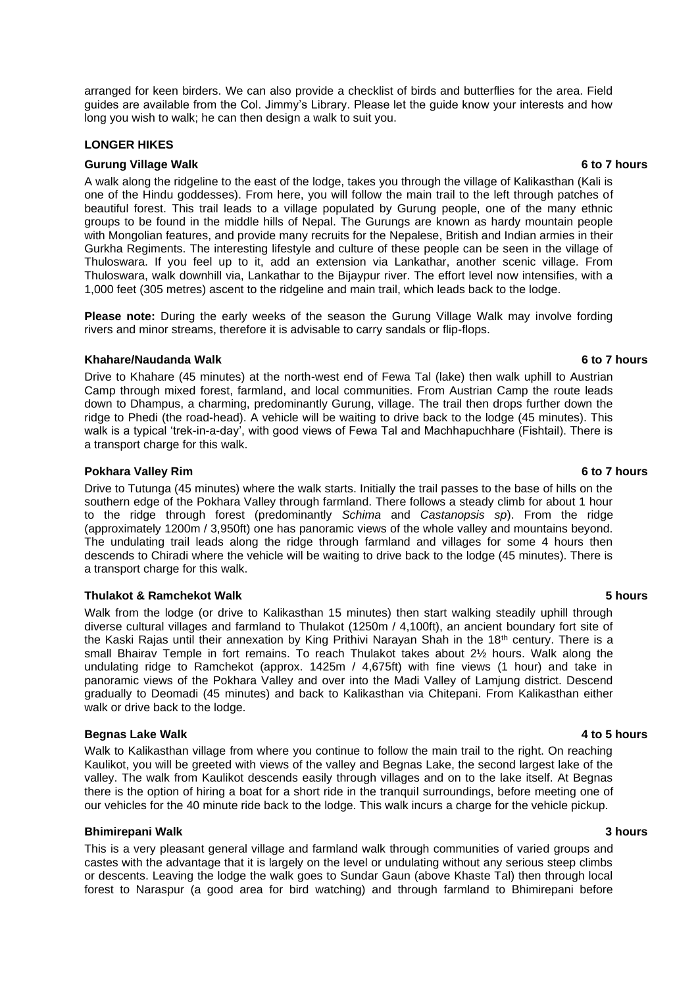arranged for keen birders. We can also provide a checklist of birds and butterflies for the area. Field guides are available from the Col. Jimmy's Library. Please let the guide know your interests and how long you wish to walk; he can then design a walk to suit you.

## **LONGER HIKES**

## **Gurung Village Walk 6 to 7 hours** 6 to 7 hours

A walk along the ridgeline to the east of the lodge, takes you through the village of Kalikasthan (Kali is one of the Hindu goddesses). From here, you will follow the main trail to the left through patches of beautiful forest. This trail leads to a village populated by Gurung people, one of the many ethnic groups to be found in the middle hills of Nepal. The Gurungs are known as hardy mountain people with Mongolian features, and provide many recruits for the Nepalese, British and Indian armies in their Gurkha Regiments. The interesting lifestyle and culture of these people can be seen in the village of Thuloswara. If you feel up to it, add an extension via Lankathar, another scenic village. From Thuloswara, walk downhill via, Lankathar to the Bijaypur river. The effort level now intensifies, with a 1,000 feet (305 metres) ascent to the ridgeline and main trail, which leads back to the lodge.

**Please note:** During the early weeks of the season the Gurung Village Walk may involve fording rivers and minor streams, therefore it is advisable to carry sandals or flip-flops.

## **Khahare/Naudanda Walk 6 to 7 hours**

Drive to Khahare (45 minutes) at the north-west end of Fewa Tal (lake) then walk uphill to Austrian Camp through mixed forest, farmland, and local communities. From Austrian Camp the route leads down to Dhampus, a charming, predominantly Gurung, village. The trail then drops further down the ridge to Phedi (the road-head). A vehicle will be waiting to drive back to the lodge (45 minutes). This walk is a typical 'trek-in-a-day', with good views of Fewa Tal and Machhapuchhare (Fishtail). There is a transport charge for this walk.

## **Pokhara Valley Rim 6 to 7 hours**

Drive to Tutunga (45 minutes) where the walk starts. Initially the trail passes to the base of hills on the southern edge of the Pokhara Valley through farmland. There follows a steady climb for about 1 hour to the ridge through forest (predominantly *Schima* and *Castanopsis sp*). From the ridge (approximately 1200m / 3,950ft) one has panoramic views of the whole valley and mountains beyond. The undulating trail leads along the ridge through farmland and villages for some 4 hours then descends to Chiradi where the vehicle will be waiting to drive back to the lodge (45 minutes). There is a transport charge for this walk.

## **Thulakot & Ramchekot Walk 5 hours**

Walk from the lodge (or drive to Kalikasthan 15 minutes) then start walking steadily uphill through diverse cultural villages and farmland to Thulakot (1250m / 4,100ft), an ancient boundary fort site of the Kaski Rajas until their annexation by King Prithivi Narayan Shah in the 18<sup>th</sup> century. There is a small Bhairav Temple in fort remains. To reach Thulakot takes about 2½ hours. Walk along the undulating ridge to Ramchekot (approx. 1425m / 4,675ft) with fine views (1 hour) and take in panoramic views of the Pokhara Valley and over into the Madi Valley of Lamjung district. Descend gradually to Deomadi (45 minutes) and back to Kalikasthan via Chitepani. From Kalikasthan either walk or drive back to the lodge.

## **Begnas Lake Walk 2** to 5 hours **and 2** to 5 hours **1**

Walk to Kalikasthan village from where you continue to follow the main trail to the right. On reaching Kaulikot, you will be greeted with views of the valley and Begnas Lake, the second largest lake of the valley. The walk from Kaulikot descends easily through villages and on to the lake itself. At Begnas there is the option of hiring a boat for a short ride in the tranquil surroundings, before meeting one of our vehicles for the 40 minute ride back to the lodge. This walk incurs a charge for the vehicle pickup.

## **Bhimirepani Walk 3 hours**

This is a very pleasant general village and farmland walk through communities of varied groups and castes with the advantage that it is largely on the level or undulating without any serious steep climbs or descents. Leaving the lodge the walk goes to Sundar Gaun (above Khaste Tal) then through local forest to Naraspur (a good area for bird watching) and through farmland to Bhimirepani before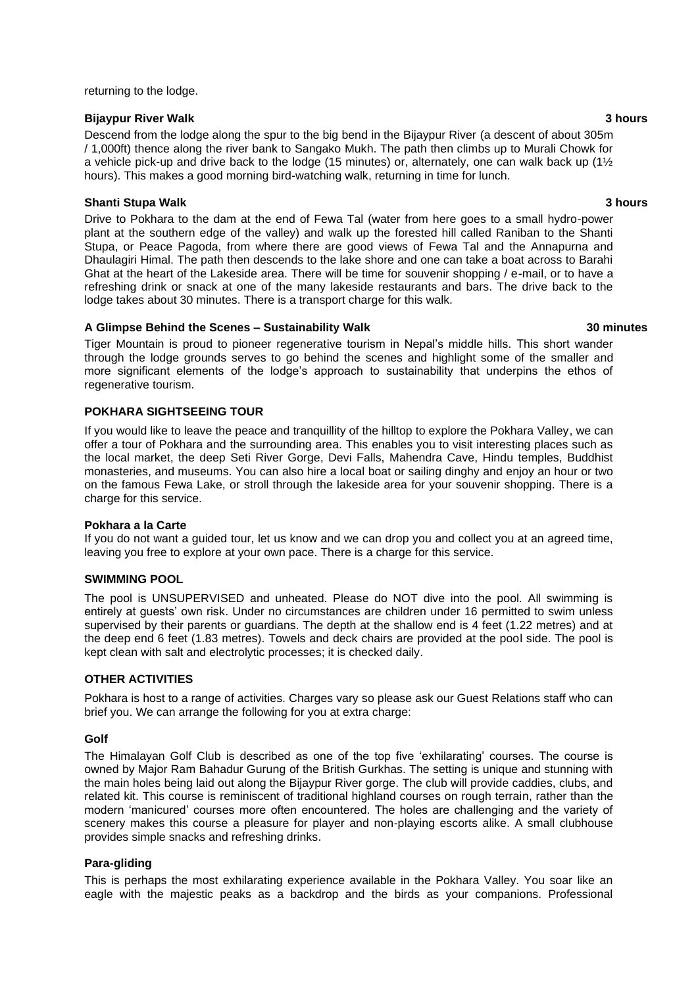#### returning to the lodge.

#### **Bijaypur River Walk 3 hours**

Descend from the lodge along the spur to the big bend in the Bijaypur River (a descent of about 305m / 1,000ft) thence along the river bank to Sangako Mukh. The path then climbs up to Murali Chowk for a vehicle pick-up and drive back to the lodge (15 minutes) or, alternately, one can walk back up (1 $\frac{1}{2}$ hours). This makes a good morning bird-watching walk, returning in time for lunch.

## **Shanti Stupa Walk 3 hours**

Drive to Pokhara to the dam at the end of Fewa Tal (water from here goes to a small hydro-power plant at the southern edge of the valley) and walk up the forested hill called Raniban to the Shanti Stupa, or Peace Pagoda, from where there are good views of Fewa Tal and the Annapurna and Dhaulagiri Himal. The path then descends to the lake shore and one can take a boat across to Barahi Ghat at the heart of the Lakeside area. There will be time for souvenir shopping / e-mail, or to have a refreshing drink or snack at one of the many lakeside restaurants and bars. The drive back to the lodge takes about 30 minutes. There is a transport charge for this walk.

## **A Glimpse Behind the Scenes – Sustainability Walk 30 minutes**

Tiger Mountain is proud to pioneer regenerative tourism in Nepal's middle hills. This short wander through the lodge grounds serves to go behind the scenes and highlight some of the smaller and more significant elements of the lodge's approach to sustainability that underpins the ethos of regenerative tourism.

## **POKHARA SIGHTSEEING TOUR**

If you would like to leave the peace and tranquillity of the hilltop to explore the Pokhara Valley, we can offer a tour of Pokhara and the surrounding area. This enables you to visit interesting places such as the local market, the deep Seti River Gorge, Devi Falls, Mahendra Cave, Hindu temples, Buddhist monasteries, and museums. You can also hire a local boat or sailing dinghy and enjoy an hour or two on the famous Fewa Lake, or stroll through the lakeside area for your souvenir shopping. There is a charge for this service.

## **Pokhara a la Carte**

If you do not want a guided tour, let us know and we can drop you and collect you at an agreed time, leaving you free to explore at your own pace. There is a charge for this service.

## **SWIMMING POOL**

The pool is UNSUPERVISED and unheated. Please do NOT dive into the pool. All swimming is entirely at guests' own risk. Under no circumstances are children under 16 permitted to swim unless supervised by their parents or guardians. The depth at the shallow end is 4 feet (1.22 metres) and at the deep end 6 feet (1.83 metres). Towels and deck chairs are provided at the pool side. The pool is kept clean with salt and electrolytic processes; it is checked daily.

## **OTHER ACTIVITIES**

Pokhara is host to a range of activities. Charges vary so please ask our Guest Relations staff who can brief you. We can arrange the following for you at extra charge:

## **Golf**

The Himalayan Golf Club is described as one of the top five 'exhilarating' courses. The course is owned by Major Ram Bahadur Gurung of the British Gurkhas. The setting is unique and stunning with the main holes being laid out along the Bijaypur River gorge. The club will provide caddies, clubs, and related kit. This course is reminiscent of traditional highland courses on rough terrain, rather than the modern 'manicured' courses more often encountered. The holes are challenging and the variety of scenery makes this course a pleasure for player and non-playing escorts alike. A small clubhouse provides simple snacks and refreshing drinks.

## **Para-gliding**

This is perhaps the most exhilarating experience available in the Pokhara Valley. You soar like an eagle with the majestic peaks as a backdrop and the birds as your companions. Professional